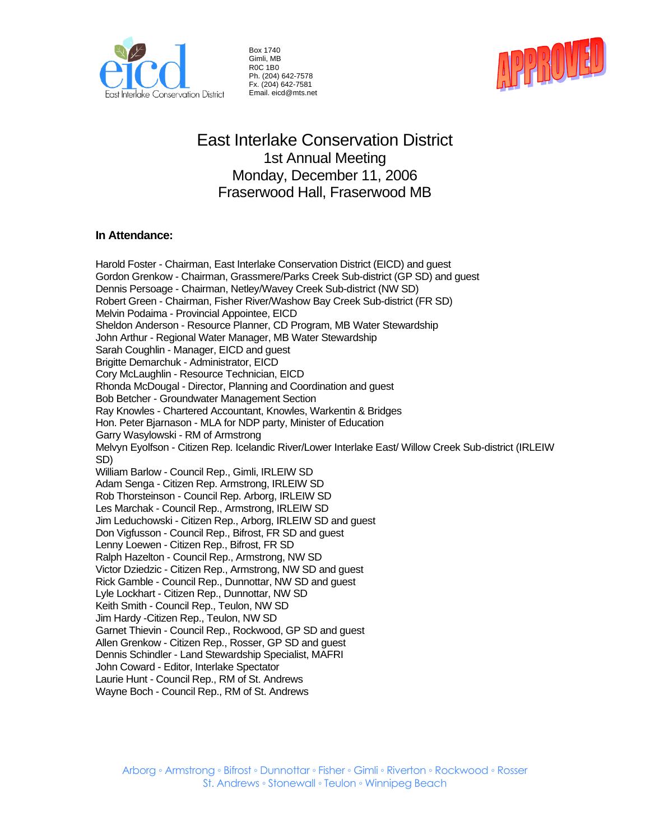

Box 1740 Gimli, MB R0C 1B0 Ph. (204) 642-7578 Fx. (204) 642-7581 Email. eicd@mts.net



# East Interlake Conservation District 1st Annual Meeting Monday, December 11, 2006 Fraserwood Hall, Fraserwood MB

# **In Attendance:**

Harold Foster - Chairman, East Interlake Conservation District (EICD) and guest Gordon Grenkow - Chairman, Grassmere/Parks Creek Sub-district (GP SD) and guest Dennis Persoage - Chairman, Netley/Wavey Creek Sub-district (NW SD) Robert Green - Chairman, Fisher River/Washow Bay Creek Sub-district (FR SD) Melvin Podaima - Provincial Appointee, EICD Sheldon Anderson - Resource Planner, CD Program, MB Water Stewardship John Arthur - Regional Water Manager, MB Water Stewardship Sarah Coughlin - Manager, EICD and guest Brigitte Demarchuk - Administrator, EICD Cory McLaughlin - Resource Technician, EICD Rhonda McDougal - Director, Planning and Coordination and guest Bob Betcher - Groundwater Management Section Ray Knowles - Chartered Accountant, Knowles, Warkentin & Bridges Hon. Peter Bjarnason - MLA for NDP party, Minister of Education Garry Wasylowski - RM of Armstrong Melvyn Eyolfson - Citizen Rep. Icelandic River/Lower Interlake East/ Willow Creek Sub-district (IRLEIW SD) William Barlow - Council Rep., Gimli, IRLEIW SD Adam Senga - Citizen Rep. Armstrong, IRLEIW SD Rob Thorsteinson - Council Rep. Arborg, IRLEIW SD Les Marchak - Council Rep., Armstrong, IRLEIW SD Jim Leduchowski - Citizen Rep., Arborg, IRLEIW SD and guest Don Vigfusson - Council Rep., Bifrost, FR SD and guest Lenny Loewen - Citizen Rep., Bifrost, FR SD Ralph Hazelton - Council Rep., Armstrong, NW SD Victor Dziedzic - Citizen Rep., Armstrong, NW SD and guest Rick Gamble - Council Rep., Dunnottar, NW SD and guest Lyle Lockhart - Citizen Rep., Dunnottar, NW SD Keith Smith - Council Rep., Teulon, NW SD Jim Hardy -Citizen Rep., Teulon, NW SD Garnet Thievin - Council Rep., Rockwood, GP SD and guest Allen Grenkow - Citizen Rep., Rosser, GP SD and guest Dennis Schindler - Land Stewardship Specialist, MAFRI John Coward - Editor, Interlake Spectator Laurie Hunt - Council Rep., RM of St. Andrews Wayne Boch - Council Rep., RM of St. Andrews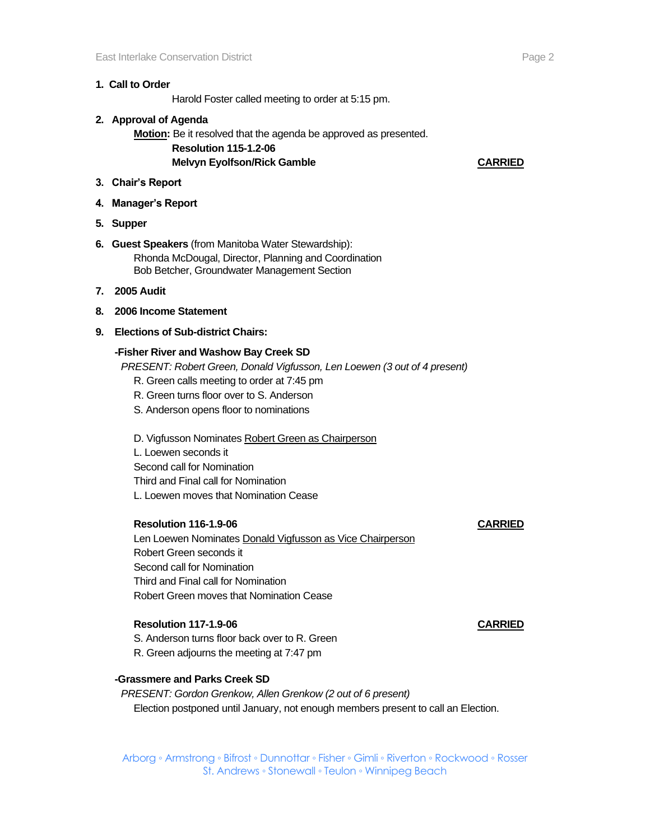## **1. Call to Order**

Harold Foster called meeting to order at 5:15 pm.

- **2. Approval of Agenda Motion:** Be it resolved that the agenda be approved as presented. **Resolution 115-1.2-06 Melvyn Eyolfson/Rick Gamble CARRIED**
- **3. Chair's Report**
- **4. Manager's Report**
- **5. Supper**
- **6. Guest Speakers** (from Manitoba Water Stewardship): Rhonda McDougal, Director, Planning and Coordination Bob Betcher, Groundwater Management Section
- **7. 2005 Audit**
- **8. 2006 Income Statement**
- **9. Elections of Sub-district Chairs:**

### **-Fisher River and Washow Bay Creek SD**

*PRESENT: Robert Green, Donald Vigfusson, Len Loewen (3 out of 4 present)*

- R. Green calls meeting to order at 7:45 pm
- R. Green turns floor over to S. Anderson
- S. Anderson opens floor to nominations
- D. Vigfusson Nominates Robert Green as Chairperson L. Loewen seconds it Second call for Nomination Third and Final call for Nomination L. Loewen moves that Nomination Cease

### **Resolution 116-1.9-06 CARRIED**

Len Loewen Nominates Donald Vigfusson as Vice Chairperson Robert Green seconds it Second call for Nomination Third and Final call for Nomination Robert Green moves that Nomination Cease

### **Resolution 117-1.9-06 CARRIED**

- S. Anderson turns floor back over to R. Green
- R. Green adjourns the meeting at 7:47 pm

# **-Grassmere and Parks Creek SD**

*PRESENT: Gordon Grenkow, Allen Grenkow (2 out of 6 present)* Election postponed until January, not enough members present to call an Election.

Arborg ◦ Armstrong ◦ Bifrost ◦ Dunnottar ◦ Fisher ◦ Gimli ◦ Riverton ◦ Rockwood ◦ Rosser St. Andrews ◦ Stonewall ◦ Teulon ◦ Winnipeg Beach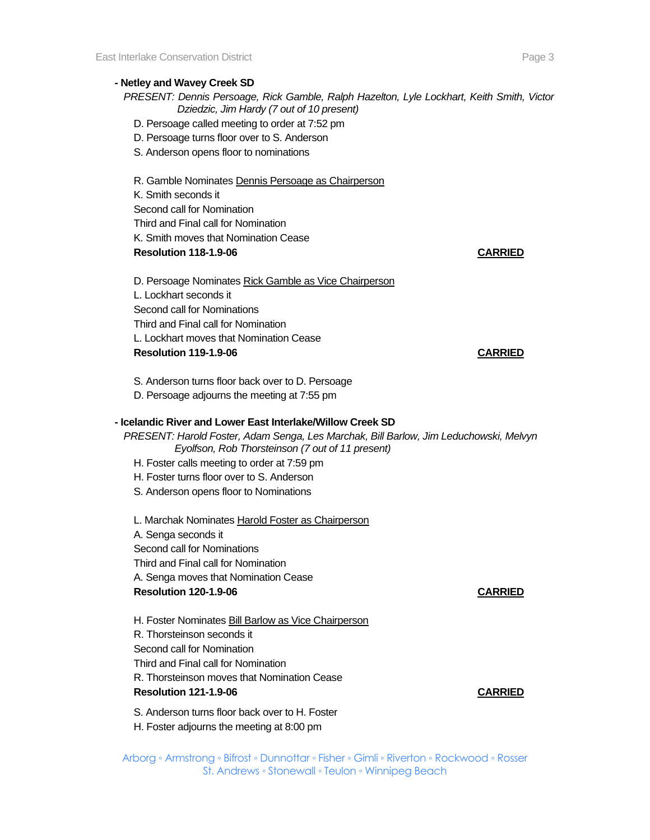### **- Netley and Wavey Creek SD**

*PRESENT: Dennis Persoage, Rick Gamble, Ralph Hazelton, Lyle Lockhart, Keith Smith, Victor Dziedzic, Jim Hardy (7 out of 10 present)*

- D. Persoage called meeting to order at 7:52 pm
- D. Persoage turns floor over to S. Anderson
- S. Anderson opens floor to nominations

R. Gamble Nominates Dennis Persoage as Chairperson

K. Smith seconds it Second call for Nomination Third and Final call for Nomination K. Smith moves that Nomination Cease **Resolution 118-1.9-06 CARRIED**

D. Persoage Nominates Rick Gamble as Vice Chairperson L. Lockhart seconds it Second call for Nominations Third and Final call for Nomination L. Lockhart moves that Nomination Cease **Resolution 119-1.9-06 CARRIED**

S. Anderson turns floor back over to D. Persoage

D. Persoage adjourns the meeting at 7:55 pm

## **- Icelandic River and Lower East Interlake/Willow Creek SD**

*PRESENT: Harold Foster, Adam Senga, Les Marchak, Bill Barlow, Jim Leduchowski, Melvyn Eyolfson, Rob Thorsteinson (7 out of 11 present)*

- H. Foster calls meeting to order at 7:59 pm
- H. Foster turns floor over to S. Anderson
- S. Anderson opens floor to Nominations

L. Marchak Nominates Harold Foster as Chairperson A. Senga seconds it Second call for Nominations Third and Final call for Nomination A. Senga moves that Nomination Cease **Resolution 120-1.9-06 CARRIED**

H. Foster Nominates Bill Barlow as Vice Chairperson R. Thorsteinson seconds it Second call for Nomination Third and Final call for Nomination R. Thorsteinson moves that Nomination Cease **Resolution 121-1.9-06 CARRIED**

S. Anderson turns floor back over to H. Foster H. Foster adjourns the meeting at 8:00 pm